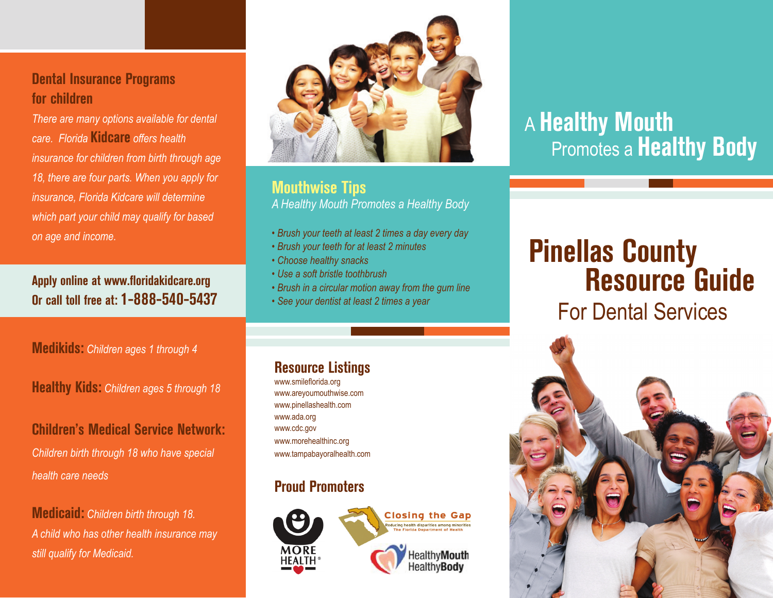# **Dental Insurance Programs for children**

*There are many options available for dental care. Florida* **Kidcare** *offers health insurance for children from birth through age 18, there are four parts. When you apply for insurance, Florida Kidcare will determine which part your child may qualify for based on age and income.* 

**Apply online at www.floridakidcare.org Or call toll free at: 1-888-540-5437**

**Medikids:** *Children ages 1 through 4*

**Healthy Kids:** *Children ages 5 through 18*

### **Children's Medical Service Network:**

*Children birth through 18 who have special health care needs*

**Medicaid:** *Children birth through 18. A child who has other health insurance may still qualify for Medicaid.*



### **Mouthwise Tips** *A Healthy Mouth Promotes a Healthy Body*

- *Brush your teeth at least 2 times a day every day*
- *Brush your teeth for at least 2 minutes*
- *Choose healthy snacks*
- *Use a soft bristle toothbrush*
- *Brush in a circular motion away from the gum line*
- *See your dentist at least 2 times a year*

### **Resource Listings**

www.smileflorida.org www.areyoumouthwise.com www.pinellashealth.com www.ada.org www.cdc.gov www.morehealthinc.org www.tampabayoralhealth.com

# **Proud Promoters**



# A **Healthy Mouth Promotes a Healthy Body**

# **Pinellas County Resource Guide**

# For Dental Services